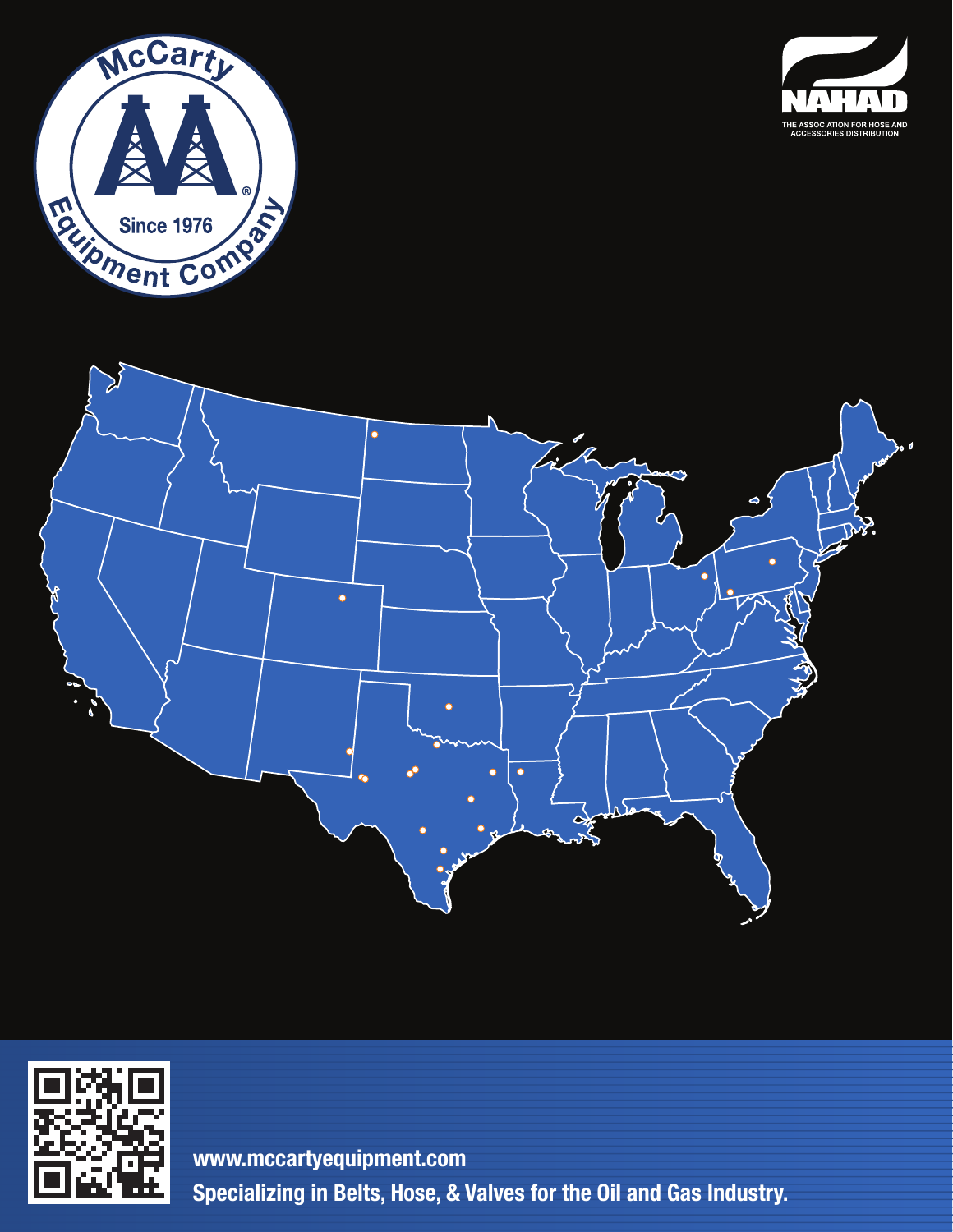







**Specializing in Belts, Hose, & Valves for the Oil and Gas Industry. www.mccartyequipment.com**